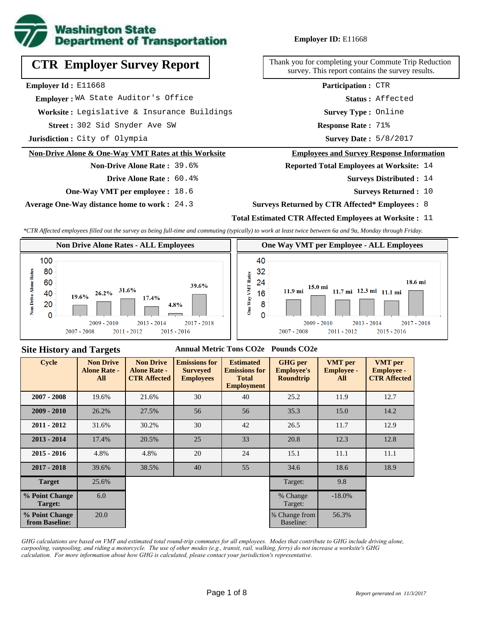

# **CTR Employer Survey Report**

**Employer Id :** E11668

 **Employer :** WA State Auditor's Office

**Worksite :** Legislative & Insurance Buildings

302 Sid Snyder Ave SW **Response Rate : Street :**

**Jurisdiction :** City of Olympia

#### **Non-Drive Alone & One-Way VMT Rates at this Worksite**

### **Non-Drive Alone Rate :** 39.6% **Drive Alone Rate :** 60.4%

**One-Way VMT per employee :** 18.6

**Average One-Way distance home to work :** 24.3

### **Employer ID:** E11668

Thank you for completing your Commute Trip Reduction survey. This report contains the survey results.

> **Status :** Affected **Participation :** CTR

**Survey Type :** Online

Response Rate: 71%

Survey Date: 5/8/2017

#### **Employees and Survey Response Information**

**Reported Total Employees at Worksite:** 14

- Surveys Distributed : 14
	- **Surveys Returned :** 10

#### **Surveys Returned by CTR Affected\* Employees :** 8

### **Total Estimated CTR Affected Employees at Worksite :** 11

*\*CTR Affected employees filled out the survey as being full-time and commuting (typically) to work at least twice between 6a and 9a, Monday through Friday.*



### **Site History and Targets**

#### **Annual Metric Tons CO2e Pounds CO2e**

| <b>Cycle</b>                     | <b>Non Drive</b><br><b>Alone Rate -</b><br>All | <b>Non Drive</b><br><b>Alone Rate -</b><br><b>CTR Affected</b> | <b>Emissions for</b><br><b>Surveyed</b><br><b>Employees</b> | <b>Estimated</b><br><b>Emissions for</b><br><b>Total</b><br><b>Employment</b> | <b>GHG</b> per<br><b>Employee's</b><br><b>Roundtrip</b> | <b>VMT</b> per<br><b>Employee -</b><br>All | <b>VMT</b> per<br><b>Employee -</b><br><b>CTR Affected</b> |
|----------------------------------|------------------------------------------------|----------------------------------------------------------------|-------------------------------------------------------------|-------------------------------------------------------------------------------|---------------------------------------------------------|--------------------------------------------|------------------------------------------------------------|
| $2007 - 2008$                    | 19.6%                                          | 21.6%                                                          | 30                                                          | 40                                                                            | 25.2                                                    | 11.9                                       | 12.7                                                       |
| $2009 - 2010$                    | 26.2%                                          | 27.5%                                                          | 56                                                          | 56                                                                            | 35.3                                                    | 15.0                                       | 14.2                                                       |
| $2011 - 2012$                    | 31.6%                                          | 30.2%                                                          | 30                                                          | 42                                                                            | 26.5                                                    | 11.7                                       | 12.9                                                       |
| $2013 - 2014$                    | 17.4%                                          | 20.5%                                                          | 25                                                          | 33                                                                            | 20.8                                                    | 12.3                                       | 12.8                                                       |
| $2015 - 2016$                    | 4.8%                                           | 4.8%                                                           | 20                                                          | 24                                                                            | 15.1                                                    | 11.1                                       | 11.1                                                       |
| $2017 - 2018$                    | 39.6%                                          | 38.5%                                                          | 40                                                          | 55                                                                            | 34.6                                                    | 18.6                                       | 18.9                                                       |
| <b>Target</b>                    | 25.6%                                          |                                                                |                                                             |                                                                               | Target:                                                 | 9.8                                        |                                                            |
| % Point Change<br>Target:        | 6.0                                            |                                                                |                                                             |                                                                               | % Change<br>Target:                                     | $-18.0\%$                                  |                                                            |
| % Point Change<br>from Baseline: | 20.0                                           |                                                                |                                                             |                                                                               | % Change from<br>Baseline:                              | 56.3%                                      |                                                            |

*GHG calculations are based on VMT and estimated total round-trip commutes for all employees. Modes that contribute to GHG include driving alone, carpooling, vanpooling, and riding a motorcycle. The use of other modes (e.g., transit, rail, walking, ferry) do not increase a worksite's GHG calculation. For more information about how GHG is calculated, please contact your jurisdiction's representative.*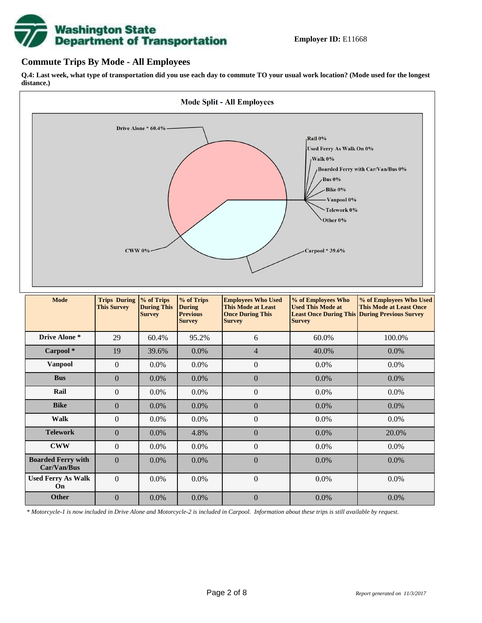

### **Commute Trips By Mode - All Employees**

**Q.4: Last week, what type of transportation did you use each day to commute TO your usual work location? (Mode used for the longest distance.)**



*\* Motorcycle-1 is now included in Drive Alone and Motorcycle-2 is included in Carpool. Information about these trips is still available by request.*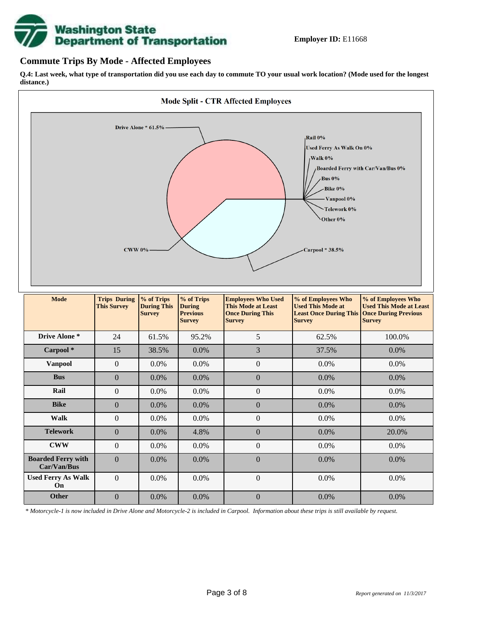

### **Commute Trips By Mode - Affected Employees**

**Q.4: Last week, what type of transportation did you use each day to commute TO your usual work location? (Mode used for the longest distance.)**



*\* Motorcycle-1 is now included in Drive Alone and Motorcycle-2 is included in Carpool. Information about these trips is still available by request.*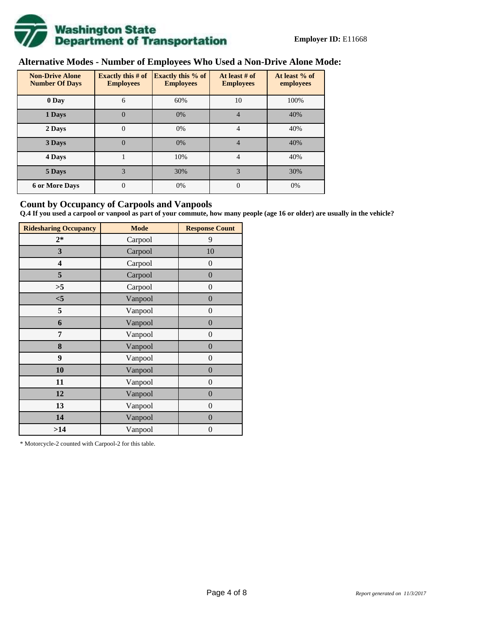

# **Alternative Modes - Number of Employees Who Used a Non-Drive Alone Mode:**

| <b>Non-Drive Alone</b><br><b>Number Of Days</b> | <b>Exactly this # of</b><br><b>Employees</b> | <b>Exactly this % of</b><br><b>Employees</b> | At least # of<br><b>Employees</b> | At least % of<br>employees |  |  |
|-------------------------------------------------|----------------------------------------------|----------------------------------------------|-----------------------------------|----------------------------|--|--|
| 0 Day                                           | 6                                            | 60%                                          | 10                                | 100%                       |  |  |
| 1 Days                                          | $\overline{0}$                               | 0%                                           | $\overline{4}$                    | 40%                        |  |  |
| 2 Days                                          | $\overline{0}$                               | 0%                                           | 4                                 | 40%                        |  |  |
| 3 Days                                          | $\overline{0}$                               | 0%                                           | 4                                 | 40%                        |  |  |
| 4 Days                                          |                                              | 10%                                          | 4                                 | 40%                        |  |  |
| 5 Days                                          | 3                                            | 30%                                          | 3                                 | 30%                        |  |  |
| <b>6 or More Days</b>                           | $\theta$                                     | 0%                                           | $\Omega$                          | 0%                         |  |  |

### **Count by Occupancy of Carpools and Vanpools**

**Q.4 If you used a carpool or vanpool as part of your commute, how many people (age 16 or older) are usually in the vehicle?**

| <b>Ridesharing Occupancy</b> | <b>Mode</b> | <b>Response Count</b> |
|------------------------------|-------------|-----------------------|
| $2*$                         | Carpool     | 9                     |
| 3                            | Carpool     | 10                    |
| 4                            | Carpool     | $\boldsymbol{0}$      |
| 5                            | Carpool     | $\boldsymbol{0}$      |
| >5                           | Carpool     | $\overline{0}$        |
| $<$ 5                        | Vanpool     | $\overline{0}$        |
| 5                            | Vanpool     | $\overline{0}$        |
| 6                            | Vanpool     | $\boldsymbol{0}$      |
| 7                            | Vanpool     | $\overline{0}$        |
| 8                            | Vanpool     | $\overline{0}$        |
| 9                            | Vanpool     | $\overline{0}$        |
| 10                           | Vanpool     | $\overline{0}$        |
| 11                           | Vanpool     | $\boldsymbol{0}$      |
| 12                           | Vanpool     | $\boldsymbol{0}$      |
| 13                           | Vanpool     | $\boldsymbol{0}$      |
| 14                           | Vanpool     | $\overline{0}$        |
| >14                          | Vanpool     | $\boldsymbol{0}$      |

\* Motorcycle-2 counted with Carpool-2 for this table.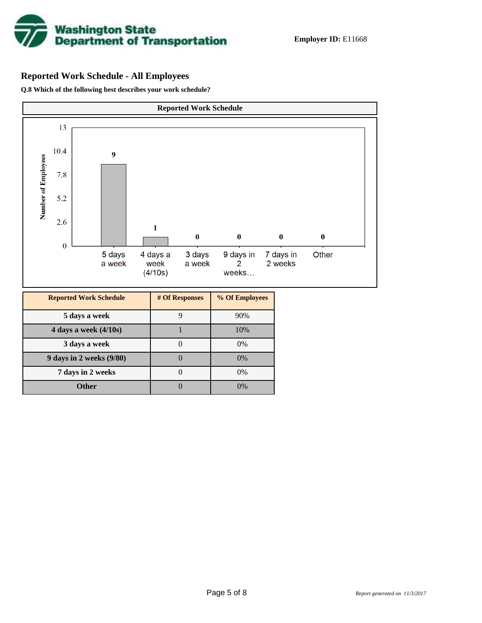

# **Reported Work Schedule - All Employees**

**Q.8 Which of the following best describes your work schedule?**

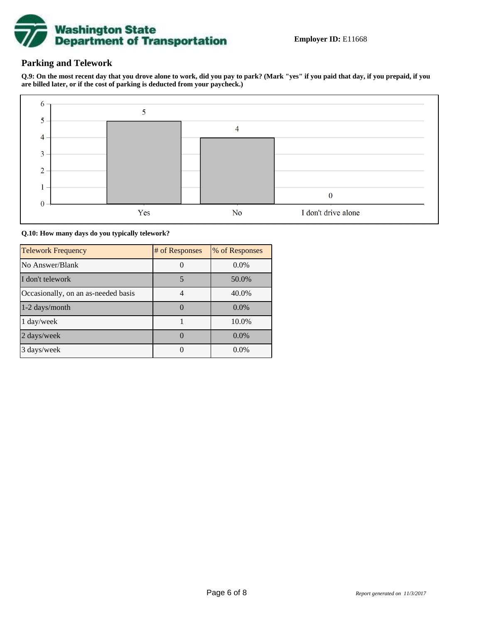

# **Parking and Telework**

**Q.9: On the most recent day that you drove alone to work, did you pay to park? (Mark "yes" if you paid that day, if you prepaid, if you are billed later, or if the cost of parking is deducted from your paycheck.)**



**Q.10: How many days do you typically telework?**

| <b>Telework Frequency</b>           | # of Responses | % of Responses |
|-------------------------------------|----------------|----------------|
| No Answer/Blank                     |                | $0.0\%$        |
| I don't telework                    | 5              | 50.0%          |
| Occasionally, on an as-needed basis |                | 40.0%          |
| 1-2 days/month                      |                | $0.0\%$        |
| 1 day/week                          |                | 10.0%          |
| 2 days/week                         |                | 0.0%           |
| 3 days/week                         |                | $0.0\%$        |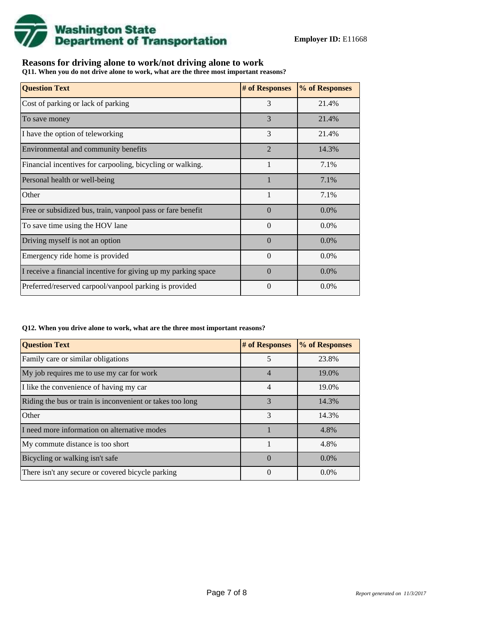![](_page_6_Picture_0.jpeg)

## **Reasons for driving alone to work/not driving alone to work**

**Q11. When you do not drive alone to work, what are the three most important reasons?**

| <b>Question Text</b>                                           | # of Responses | % of Responses |
|----------------------------------------------------------------|----------------|----------------|
| Cost of parking or lack of parking                             | 3              | 21.4%          |
| To save money                                                  | 3              | 21.4%          |
| I have the option of teleworking                               | 3              | 21.4%          |
| Environmental and community benefits                           | $\overline{2}$ | 14.3%          |
| Financial incentives for carpooling, bicycling or walking.     |                | 7.1%           |
| Personal health or well-being                                  |                | 7.1%           |
| Other                                                          | 1              | 7.1%           |
| Free or subsidized bus, train, vanpool pass or fare benefit    | $\Omega$       | $0.0\%$        |
| To save time using the HOV lane                                | $\Omega$       | 0.0%           |
| Driving myself is not an option                                | $\Omega$       | $0.0\%$        |
| Emergency ride home is provided                                | $\Omega$       | $0.0\%$        |
| I receive a financial incentive for giving up my parking space | $\Omega$       | 0.0%           |
| Preferred/reserved carpool/vanpool parking is provided         | $\theta$       | $0.0\%$        |

#### **Q12. When you drive alone to work, what are the three most important reasons?**

| <b>Question Text</b>                                      | # of Responses | % of Responses |
|-----------------------------------------------------------|----------------|----------------|
| Family care or similar obligations                        | 5              | 23.8%          |
| My job requires me to use my car for work                 | $\overline{4}$ | 19.0%          |
| I like the convenience of having my car                   | 4              | 19.0%          |
| Riding the bus or train is inconvenient or takes too long | 3              | 14.3%          |
| Other                                                     | 3              | 14.3%          |
| I need more information on alternative modes              |                | 4.8%           |
| My commute distance is too short                          |                | 4.8%           |
| Bicycling or walking isn't safe                           | $\Omega$       | $0.0\%$        |
| There isn't any secure or covered bicycle parking         | $\theta$       | $0.0\%$        |